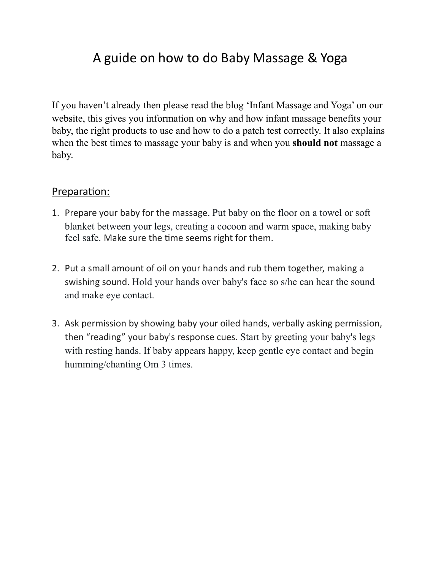# A guide on how to do Baby Massage & Yoga

If you haven't already then please read the blog 'Infant Massage and Yoga' on our website, this gives you information on why and how infant massage benefits your baby, the right products to use and how to do a patch test correctly. It also explains when the best times to massage your baby is and when you **should not** massage a baby.

# Preparation:

- 1. Prepare your baby for the massage. Put baby on the floor on a towel or soft blanket between your legs, creating a cocoon and warm space, making baby feel safe. Make sure the time seems right for them.
- 2. Put a small amount of oil on your hands and rub them together, making a swishing sound. Hold your hands over baby's face so s/he can hear the sound and make eye contact.
- 3. Ask permission by showing baby your oiled hands, verbally asking permission, then "reading" your baby's response cues. Start by greeting your baby's legs with resting hands. If baby appears happy, keep gentle eye contact and begin humming/chanting Om 3 times.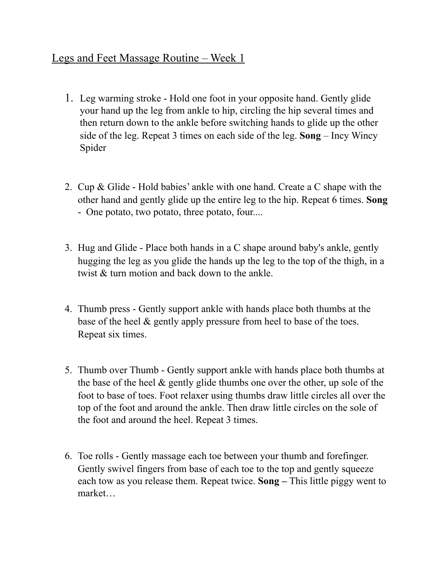# Legs and Feet Massage Routine – Week 1

- 1. Leg warming stroke Hold one foot in your opposite hand. Gently glide your hand up the leg from ankle to hip, circling the hip several times and then return down to the ankle before switching hands to glide up the other side of the leg. Repeat 3 times on each side of the leg. **Song** – Incy Wincy Spider
- 2. Cup & Glide Hold babies' ankle with one hand. Create a C shape with the other hand and gently glide up the entire leg to the hip. Repeat 6 times. **Song** - One potato, two potato, three potato, four....
- 3. Hug and Glide Place both hands in a C shape around baby's ankle, gently hugging the leg as you glide the hands up the leg to the top of the thigh, in a twist & turn motion and back down to the ankle.
- 4. Thumb press Gently support ankle with hands place both thumbs at the base of the heel & gently apply pressure from heel to base of the toes. Repeat six times.
- 5. Thumb over Thumb Gently support ankle with hands place both thumbs at the base of the heel & gently glide thumbs one over the other, up sole of the foot to base of toes. Foot relaxer using thumbs draw little circles all over the top of the foot and around the ankle. Then draw little circles on the sole of the foot and around the heel. Repeat 3 times.
- 6. Toe rolls Gently massage each toe between your thumb and forefinger. Gently swivel fingers from base of each toe to the top and gently squeeze each tow as you release them. Repeat twice. **Song –** This little piggy went to market…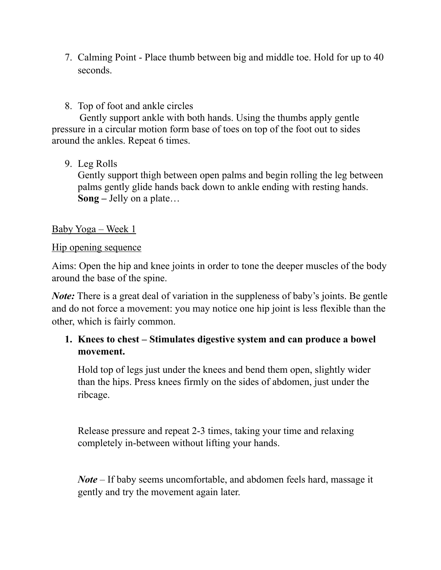- 7. Calming Point Place thumb between big and middle toe. Hold for up to 40 seconds.
- 8. Top of foot and ankle circles

 Gently support ankle with both hands. Using the thumbs apply gentle pressure in a circular motion form base of toes on top of the foot out to sides around the ankles. Repeat 6 times.

9. Leg Rolls

Gently support thigh between open palms and begin rolling the leg between palms gently glide hands back down to ankle ending with resting hands. **Song –** Jelly on a plate…

#### Baby Yoga – Week 1

#### Hip opening sequence

Aims: Open the hip and knee joints in order to tone the deeper muscles of the body around the base of the spine.

*Note:* There is a great deal of variation in the suppleness of baby's joints. Be gentle and do not force a movement: you may notice one hip joint is less flexible than the other, which is fairly common.

# **1. Knees to chest – Stimulates digestive system and can produce a bowel movement.**

Hold top of legs just under the knees and bend them open, slightly wider than the hips. Press knees firmly on the sides of abdomen, just under the ribcage.

Release pressure and repeat 2-3 times, taking your time and relaxing completely in-between without lifting your hands.

*Note* – If baby seems uncomfortable, and abdomen feels hard, massage it gently and try the movement again later.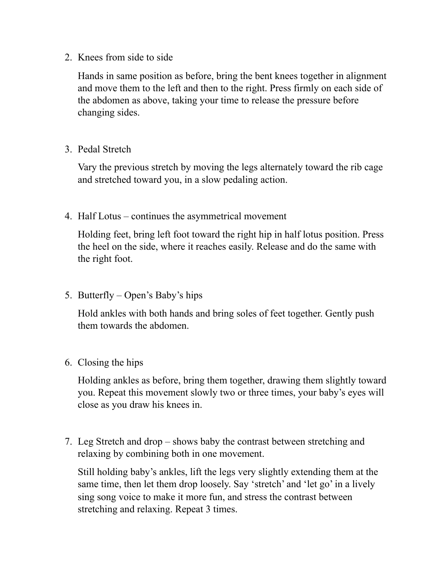2. Knees from side to side

Hands in same position as before, bring the bent knees together in alignment and move them to the left and then to the right. Press firmly on each side of the abdomen as above, taking your time to release the pressure before changing sides.

3. Pedal Stretch

Vary the previous stretch by moving the legs alternately toward the rib cage and stretched toward you, in a slow pedaling action.

4. Half Lotus – continues the asymmetrical movement

Holding feet, bring left foot toward the right hip in half lotus position. Press the heel on the side, where it reaches easily. Release and do the same with the right foot.

5. Butterfly – Open's Baby's hips

Hold ankles with both hands and bring soles of feet together. Gently push them towards the abdomen.

6. Closing the hips

Holding ankles as before, bring them together, drawing them slightly toward you. Repeat this movement slowly two or three times, your baby's eyes will close as you draw his knees in.

7. Leg Stretch and drop – shows baby the contrast between stretching and relaxing by combining both in one movement.

Still holding baby's ankles, lift the legs very slightly extending them at the same time, then let them drop loosely. Say 'stretch' and 'let go' in a lively sing song voice to make it more fun, and stress the contrast between stretching and relaxing. Repeat 3 times.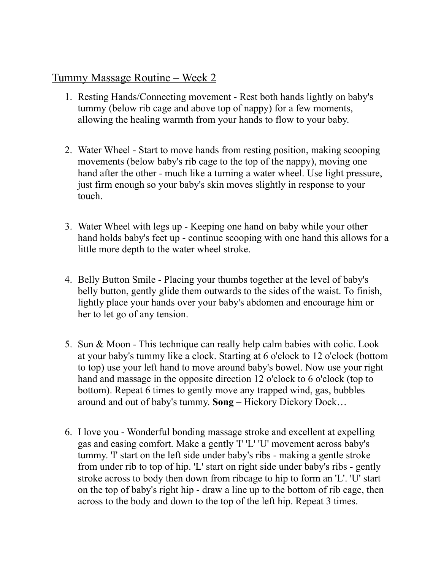# Tummy Massage Routine – Week 2

- 1. Resting Hands/Connecting movement Rest both hands lightly on baby's tummy (below rib cage and above top of nappy) for a few moments, allowing the healing warmth from your hands to flow to your baby.
- 2. Water Wheel Start to move hands from resting position, making scooping movements (below baby's rib cage to the top of the nappy), moving one hand after the other - much like a turning a water wheel. Use light pressure, just firm enough so your baby's skin moves slightly in response to your touch.
- 3. Water Wheel with legs up Keeping one hand on baby while your other hand holds baby's feet up - continue scooping with one hand this allows for a little more depth to the water wheel stroke.
- 4. Belly Button Smile Placing your thumbs together at the level of baby's belly button, gently glide them outwards to the sides of the waist. To finish, lightly place your hands over your baby's abdomen and encourage him or her to let go of any tension.
- 5. Sun & Moon This technique can really help calm babies with colic. Look at your baby's tummy like a clock. Starting at 6 o'clock to 12 o'clock (bottom to top) use your left hand to move around baby's bowel. Now use your right hand and massage in the opposite direction 12 o'clock to 6 o'clock (top to bottom). Repeat 6 times to gently move any trapped wind, gas, bubbles around and out of baby's tummy. **Song –** Hickory Dickory Dock…
- 6. I love you Wonderful bonding massage stroke and excellent at expelling gas and easing comfort. Make a gently 'I' 'L' 'U' movement across baby's tummy. 'I' start on the left side under baby's ribs - making a gentle stroke from under rib to top of hip. 'L' start on right side under baby's ribs - gently stroke across to body then down from ribcage to hip to form an 'L'. 'U' start on the top of baby's right hip - draw a line up to the bottom of rib cage, then across to the body and down to the top of the left hip. Repeat 3 times.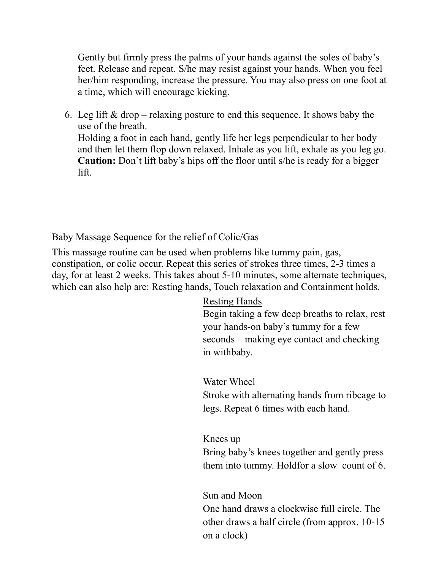Gently but firmly press the palms of your hands against the soles of baby's feet. Release and repeat. S/he may resist against your hands. When you feel her/him responding, increase the pressure. You may also press on one foot at a time, which will encourage kicking.

6. Leg lift  $\&$  drop – relaxing posture to end this sequence. It shows baby the use of the breath. Holding a foot in each hand, gently life her legs perpendicular to her body and then let them flop down relaxed. Inhale as you lift, exhale as you leg go. **Caution:** Don't lift baby's hips off the floor until s/he is ready for a bigger lift.

# Baby Massage Sequence for the relief of Colic/Gas

This massage routine can be used when problems like tummy pain, gas, constipation, or colic occur. Repeat this series of strokes three times, 2-3 times a day, for at least 2 weeks. This takes about 5-10 minutes, some alternate techniques, which can also help are: Resting hands, Touch relaxation and Containment holds.

Resting Hands

Begin taking a few deep breaths to relax, rest your hands-on baby's tummy for a few seconds – making eye contact and checking in withbaby.

Water Wheel

Stroke with alternating hands from ribcage to legs. Repeat 6 times with each hand.

Knees up

Bring baby's knees together and gently press them into tummy. Holdfor a slow count of 6.

 Sun and Moon One hand draws a clockwise full circle. The other draws a half circle(from approx. 10-15

on a clock)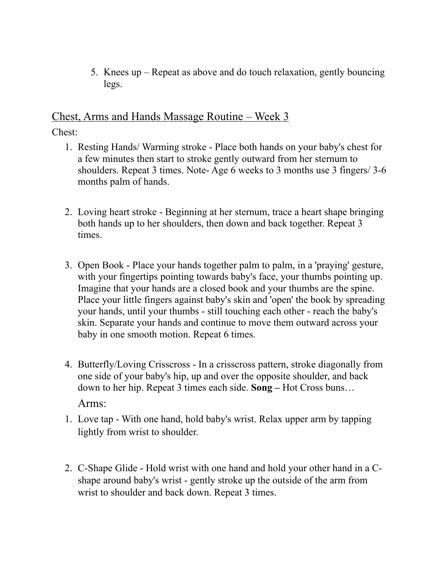5. Knees up – Repeat as above and do touch relaxation, gently bouncing legs.

# Chest, Arms and Hands Massage Routine – Week 3

# Chest:

- 1. Resting Hands/ Warming stroke Place both hands on your baby's chest for a few minutes then start to stroke gently outward from her sternum to shoulders. Repeat 3 times. Note- Age 6 weeks to 3 months use 3 fingers/ 3-6 months palm of hands.
- 2. Loving heart stroke Beginning at her sternum, trace a heart shape bringing both hands up to her shoulders, then down and back together. Repeat 3 times.
- 3. Open Book Place your hands together palm to palm, in a 'praying' gesture, with your fingertips pointing towards baby's face, your thumbs pointing up. Imagine that your hands are a closed book and your thumbs are the spine. Place your little fingers against baby's skin and 'open' the book by spreading your hands, until your thumbs - still touching each other - reach the baby's skin. Separate your hands and continue to move them outward across your baby in one smooth motion. Repeat 6 times.
- 4. Butterfly/Loving Crisscross In a crisscross pattern, stroke diagonally from one side of your baby's hip, up and over the opposite shoulder, and back down to her hip. Repeat 3 times each side. **Song –** Hot Cross buns… Arms:
- 1. Love tap With one hand, hold baby's wrist. Relax upper arm by tapping lightly from wrist to shoulder.
- 2. C-Shape Glide Hold wrist with one hand and hold your other hand in a Cshape around baby's wrist - gently stroke up the outside of the arm from wrist to shoulder and back down. Repeat 3 times.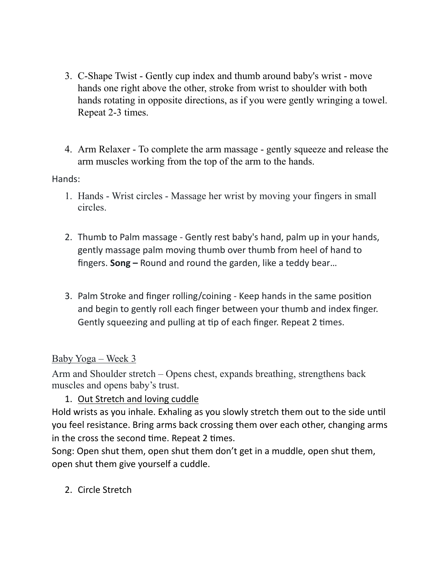- 3. C-Shape Twist Gently cup index and thumb around baby's wrist move hands one right above the other, stroke from wrist to shoulder with both hands rotating in opposite directions, as if you were gently wringing a towel. Repeat 2-3 times.
- 4. Arm Relaxer To complete the arm massage gently squeeze and release the arm muscles working from the top of the arm to the hands.

#### Hands:

- 1. Hands Wrist circles Massage her wrist by moving your fingers in small circles.
- 2. Thumb to Palm massage Gently rest baby's hand, palm up in your hands, gently massage palm moving thumb over thumb from heel of hand to fingers. **Song –** Round and round the garden, like a teddy bear…
- 3. Palm Stroke and finger rolling/coining Keep hands in the same position and begin to gently roll each finger between your thumb and index finger. Gently squeezing and pulling at tip of each finger. Repeat 2 times.

#### Baby Yoga – Week 3

Arm and Shoulder stretch – Opens chest, expands breathing, strengthens back muscles and opens baby's trust.

1. Out Stretch and loving cuddle

Hold wrists as you inhale. Exhaling as you slowly stretch them out to the side until you feel resistance. Bring arms back crossing them over each other, changing arms in the cross the second time. Repeat 2 times.

Song: Open shut them, open shut them don't get in a muddle, open shut them, open shut them give yourself a cuddle.

2. Circle Stretch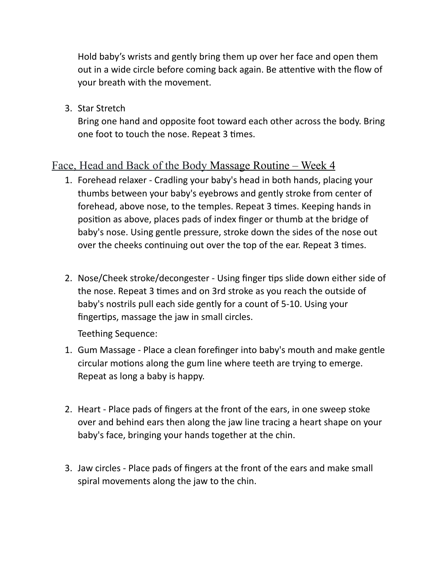Hold baby's wrists and gently bring them up over her face and open them out in a wide circle before coming back again. Be attentive with the flow of your breath with the movement.

3. Star Stretch

Bring one hand and opposite foot toward each other across the body. Bring one foot to touch the nose. Repeat 3 times.

# Face, Head and Back of the Body Massage Routine – Week 4

- 1. Forehead relaxer Cradling your baby's head in both hands, placing your thumbs between your baby's eyebrows and gently stroke from center of forehead, above nose, to the temples. Repeat 3 times. Keeping hands in position as above, places pads of index finger or thumb at the bridge of baby's nose. Using gentle pressure, stroke down the sides of the nose out over the cheeks continuing out over the top of the ear. Repeat 3 times.
- 2. Nose/Cheek stroke/decongester Using finger tips slide down either side of the nose. Repeat 3 times and on 3rd stroke as you reach the outside of baby's nostrils pull each side gently for a count of 5-10. Using your fingertips, massage the jaw in small circles.

Teething Sequence:

- 1. Gum Massage Place a clean forefinger into baby's mouth and make gentle circular motions along the gum line where teeth are trying to emerge. Repeat as long a baby is happy.
- 2. Heart Place pads of fingers at the front of the ears, in one sweep stoke over and behind ears then along the jaw line tracing a heart shape on your baby's face, bringing your hands together at the chin.
- 3. Jaw circles Place pads of fingers at the front of the ears and make small spiral movements along the jaw to the chin.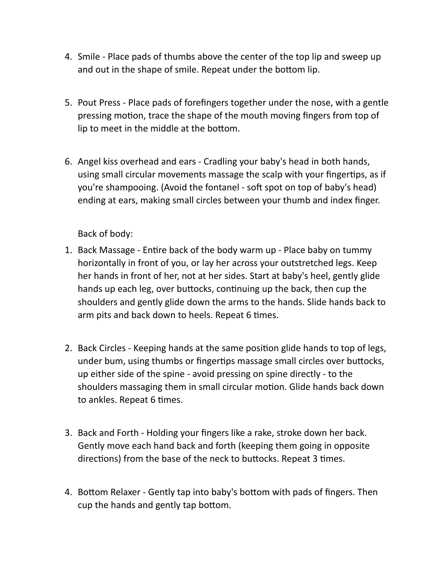- 4. Smile Place pads of thumbs above the center of the top lip and sweep up and out in the shape of smile. Repeat under the bottom lip.
- 5. Pout Press Place pads of forefingers together under the nose, with a gentle pressing motion, trace the shape of the mouth moving fingers from top of lip to meet in the middle at the bottom.
- 6. Angel kiss overhead and ears Cradling your baby's head in both hands, using small circular movements massage the scalp with your fingertips, as if you're shampooing. (Avoid the fontanel - soft spot on top of baby's head) ending at ears, making small circles between your thumb and index finger.

Back of body:

- 1. Back Massage Entire back of the body warm up Place baby on tummy horizontally in front of you, or lay her across your outstretched legs. Keep her hands in front of her, not at her sides. Start at baby's heel, gently glide hands up each leg, over buttocks, continuing up the back, then cup the shoulders and gently glide down the arms to the hands. Slide hands back to arm pits and back down to heels. Repeat 6 times.
- 2. Back Circles Keeping hands at the same position glide hands to top of legs, under bum, using thumbs or fingertips massage small circles over buttocks, up either side of the spine - avoid pressing on spine directly - to the shoulders massaging them in small circular motion. Glide hands back down to ankles. Repeat 6 times.
- 3. Back and Forth Holding your fingers like a rake, stroke down her back. Gently move each hand back and forth (keeping them going in opposite directions) from the base of the neck to buttocks. Repeat 3 times.
- 4. Bottom Relaxer Gently tap into baby's bottom with pads of fingers. Then cup the hands and gently tap bottom.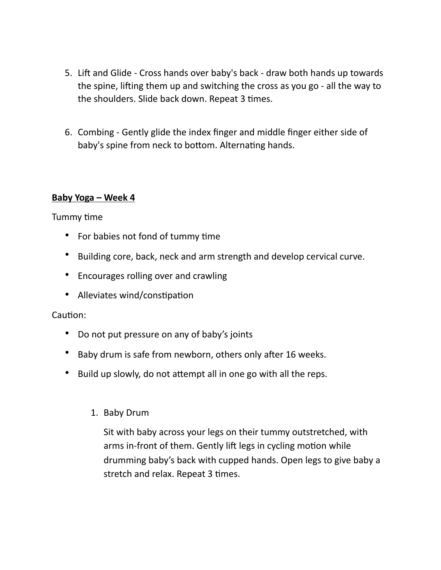- 5. Lift and Glide Cross hands over baby's back draw both hands up towards the spine, lifting them up and switching the cross as you go - all the way to the shoulders. Slide back down. Repeat 3 times.
- 6. Combing Gently glide the index finger and middle finger either side of baby's spine from neck to bottom. Alternating hands.

#### **Baby Yoga – Week 4**

Tummy time

- For babies not fond of tummy time
- Building core, back, neck and arm strength and develop cervical curve.
- Encourages rolling over and crawling
- Alleviates wind/constipation

#### Caution:

- Do not put pressure on any of baby's joints
- Baby drum is safe from newborn, others only after 16 weeks.
- Build up slowly, do not attempt all in one go with all the reps.
	- 1. Baby Drum

Sit with baby across your legs on their tummy outstretched, with arms in-front of them. Gently lift legs in cycling motion while drumming baby's back with cupped hands. Open legs to give baby a stretch and relax. Repeat 3 times.